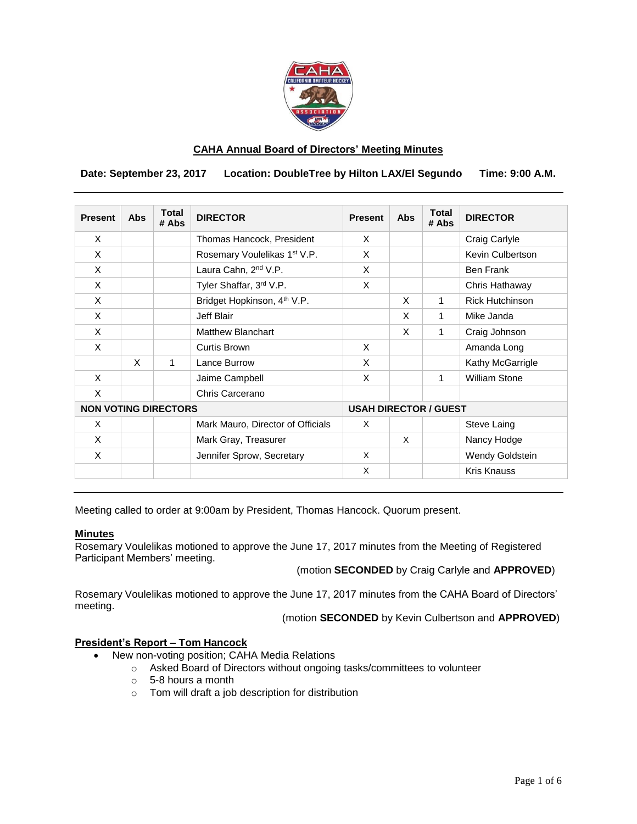

### **CAHA Annual Board of Directors' Meeting Minutes**

**Date: September 23, 2017 Location: DoubleTree by Hilton LAX/El Segundo Time: 9:00 A.M.**

| <b>Present</b>              | <b>Abs</b> | <b>Total</b><br># Abs | <b>DIRECTOR</b>                          | <b>Present</b>               | Abs | <b>Total</b><br># Abs | <b>DIRECTOR</b>        |
|-----------------------------|------------|-----------------------|------------------------------------------|------------------------------|-----|-----------------------|------------------------|
| X                           |            |                       | Thomas Hancock, President                | X                            |     |                       | Craig Carlyle          |
| X                           |            |                       | Rosemary Voulelikas 1 <sup>st</sup> V.P. | X                            |     |                       | Kevin Culbertson       |
| X                           |            |                       | Laura Cahn, 2 <sup>nd</sup> V.P.         | X                            |     |                       | <b>Ben Frank</b>       |
| X                           |            |                       | Tyler Shaffar, 3rd V.P.                  | X                            |     |                       | Chris Hathaway         |
| X                           |            |                       | Bridget Hopkinson, 4 <sup>th</sup> V.P.  |                              | X   | 1                     | <b>Rick Hutchinson</b> |
| $\times$                    |            |                       | Jeff Blair                               |                              | X   | 1                     | Mike Janda             |
| X                           |            |                       | <b>Matthew Blanchart</b>                 |                              | X   | $\mathbf{1}$          | Craig Johnson          |
| X                           |            |                       | Curtis Brown                             | X                            |     |                       | Amanda Long            |
|                             | $\times$   | 1                     | Lance Burrow                             | X                            |     |                       | Kathy McGarrigle       |
| $\times$                    |            |                       | Jaime Campbell                           | X                            |     | 1                     | <b>William Stone</b>   |
| X                           |            |                       | Chris Carcerano                          |                              |     |                       |                        |
| <b>NON VOTING DIRECTORS</b> |            |                       |                                          | <b>USAH DIRECTOR / GUEST</b> |     |                       |                        |
| X                           |            |                       | Mark Mauro, Director of Officials        | X                            |     |                       | Steve Laing            |
| X                           |            |                       | Mark Gray, Treasurer                     |                              | X   |                       | Nancy Hodge            |
| X                           |            |                       | Jennifer Sprow, Secretary                | X                            |     |                       | Wendy Goldstein        |
|                             |            |                       |                                          | X                            |     |                       | Kris Knauss            |

Meeting called to order at 9:00am by President, Thomas Hancock. Quorum present.

# **Minutes**

Rosemary Voulelikas motioned to approve the June 17, 2017 minutes from the Meeting of Registered Participant Members' meeting.

(motion **SECONDED** by Craig Carlyle and **APPROVED**)

Rosemary Voulelikas motioned to approve the June 17, 2017 minutes from the CAHA Board of Directors' meeting.

(motion **SECONDED** by Kevin Culbertson and **APPROVED**)

### **President's Report – Tom Hancock**

- New non-voting position; CAHA Media Relations
	- o Asked Board of Directors without ongoing tasks/committees to volunteer
	- o 5-8 hours a month
	- o Tom will draft a job description for distribution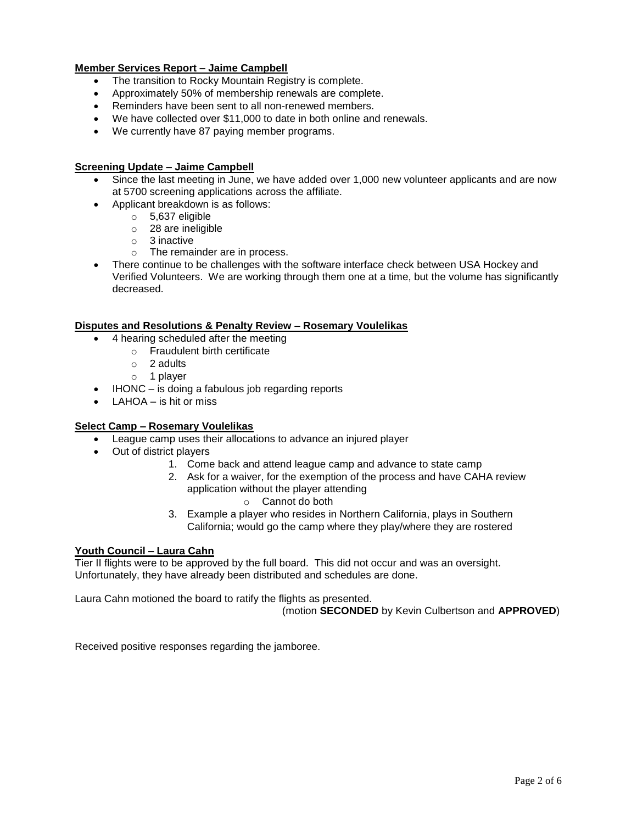# **Member Services Report – Jaime Campbell**

- The transition to Rocky Mountain Registry is complete.
- Approximately 50% of membership renewals are complete.
- Reminders have been sent to all non-renewed members.
- We have collected over \$11,000 to date in both online and renewals.
- We currently have 87 paying member programs.

### **Screening Update – Jaime Campbell**

- Since the last meeting in June, we have added over 1,000 new volunteer applicants and are now at 5700 screening applications across the affiliate.
- Applicant breakdown is as follows:
	- o 5,637 eligible
		- o 28 are ineligible
		- o 3 inactive
		- o The remainder are in process.
- There continue to be challenges with the software interface check between USA Hockey and Verified Volunteers. We are working through them one at a time, but the volume has significantly decreased.

### **Disputes and Resolutions & Penalty Review – Rosemary Voulelikas**

- 4 hearing scheduled after the meeting
	- o Fraudulent birth certificate
		- o 2 adults
		- o 1 player
- IHONC is doing a fabulous job regarding reports
- LAHOA is hit or miss

### **Select Camp – Rosemary Voulelikas**

- League camp uses their allocations to advance an injured player
- Out of district players
	- 1. Come back and attend league camp and advance to state camp
	- 2. Ask for a waiver, for the exemption of the process and have CAHA review application without the player attending
		- o Cannot do both
	- 3. Example a player who resides in Northern California, plays in Southern California; would go the camp where they play/where they are rostered

### **Youth Council – Laura Cahn**

Tier II flights were to be approved by the full board. This did not occur and was an oversight. Unfortunately, they have already been distributed and schedules are done.

Laura Cahn motioned the board to ratify the flights as presented.

(motion **SECONDED** by Kevin Culbertson and **APPROVED**)

Received positive responses regarding the jamboree.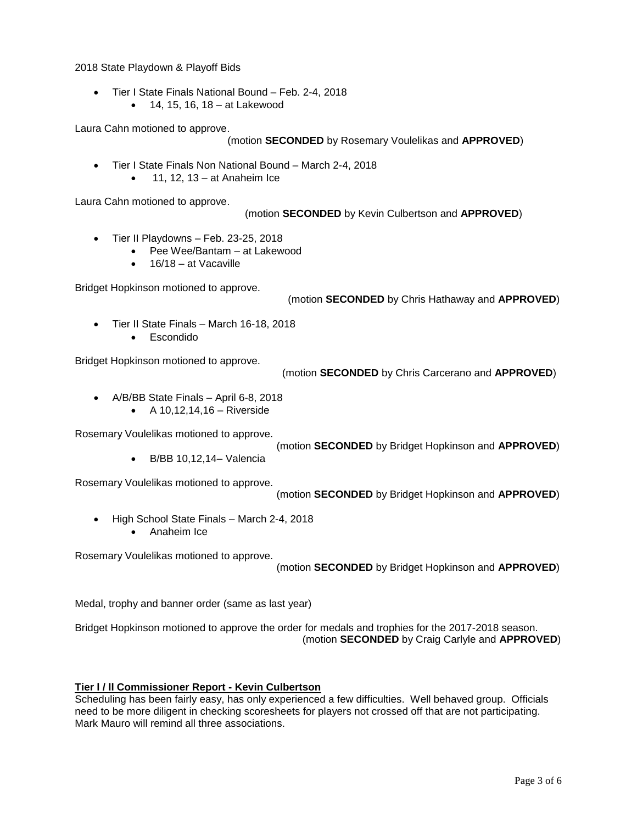2018 State Playdown & Playoff Bids

- Tier I State Finals National Bound Feb. 2-4, 2018
	- $-14$ , 15, 16, 18 at Lakewood

Laura Cahn motioned to approve.

### (motion **SECONDED** by Rosemary Voulelikas and **APPROVED**)

- Tier I State Finals Non National Bound March 2-4, 2018
	- $\bullet$  11, 12, 13 at Anaheim Ice

Laura Cahn motioned to approve.

# (motion **SECONDED** by Kevin Culbertson and **APPROVED**)

- Tier II Playdowns Feb. 23-25, 2018
	- Pee Wee/Bantam at Lakewood
	- 16/18 at Vacaville

Bridget Hopkinson motioned to approve.

### (motion **SECONDED** by Chris Hathaway and **APPROVED**)

- Tier II State Finals March 16-18, 2018
	- Escondido

Bridget Hopkinson motioned to approve.

# (motion **SECONDED** by Chris Carcerano and **APPROVED**)

- A/B/BB State Finals April 6-8, 2018
	- $\bullet$  A 10,12,14,16 Riverside

Rosemary Voulelikas motioned to approve.

(motion **SECONDED** by Bridget Hopkinson and **APPROVED**)

B/BB 10,12,14– Valencia

Rosemary Voulelikas motioned to approve.

(motion **SECONDED** by Bridget Hopkinson and **APPROVED**)

- High School State Finals March 2-4, 2018
	- Anaheim Ice

Rosemary Voulelikas motioned to approve.

(motion **SECONDED** by Bridget Hopkinson and **APPROVED**)

Medal, trophy and banner order (same as last year)

Bridget Hopkinson motioned to approve the order for medals and trophies for the 2017-2018 season. (motion **SECONDED** by Craig Carlyle and **APPROVED**)

# **Tier l / ll Commissioner Report - Kevin Culbertson**

Scheduling has been fairly easy, has only experienced a few difficulties. Well behaved group. Officials need to be more diligent in checking scoresheets for players not crossed off that are not participating. Mark Mauro will remind all three associations.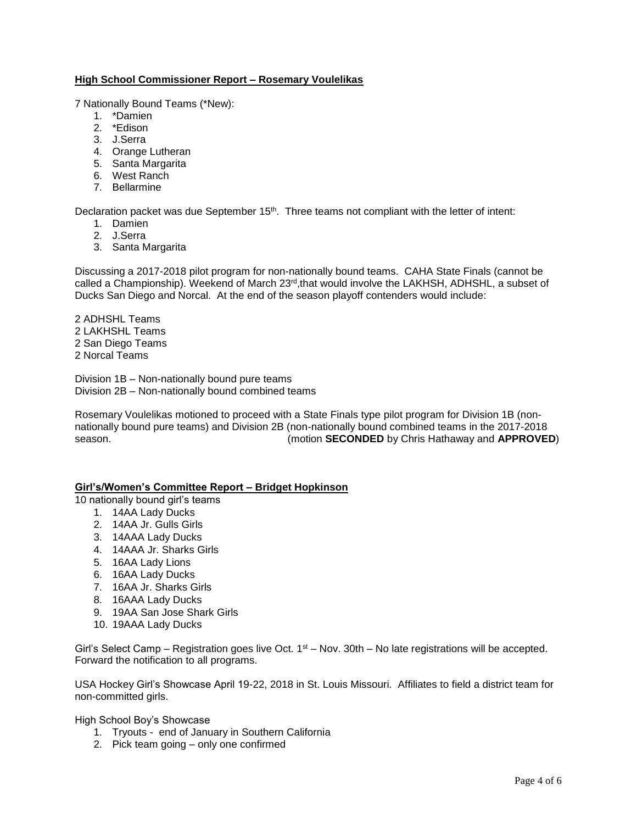# **High School Commissioner Report – Rosemary Voulelikas**

7 Nationally Bound Teams (\*New):

- 1. \*Damien
- 2. \*Edison
- 3. J.Serra
- 4. Orange Lutheran
- 5. Santa Margarita
- 6. West Ranch
- 7. Bellarmine

Declaration packet was due September 15<sup>th</sup>. Three teams not compliant with the letter of intent:

- 1. Damien
- 2. J.Serra
- 3. Santa Margarita

Discussing a 2017-2018 pilot program for non-nationally bound teams. CAHA State Finals (cannot be called a Championship). Weekend of March 23rd,that would involve the LAKHSH, ADHSHL, a subset of Ducks San Diego and Norcal. At the end of the season playoff contenders would include:

2 ADHSHL Teams 2 LAKHSHL Teams 2 San Diego Teams 2 Norcal Teams

Division 1B – Non-nationally bound pure teams Division 2B – Non-nationally bound combined teams

Rosemary Voulelikas motioned to proceed with a State Finals type pilot program for Division 1B (nonnationally bound pure teams) and Division 2B (non-nationally bound combined teams in the 2017-2018 season. (motion **SECONDED** by Chris Hathaway and **APPROVED**)

### **Girl's/Women's Committee Report – Bridget Hopkinson**

10 nationally bound girl's teams

- 1. 14AA Lady Ducks
- 2. 14AA Jr. Gulls Girls
- 3. 14AAA Lady Ducks
- 4. 14AAA Jr. Sharks Girls
- 5. 16AA Lady Lions
- 6. 16AA Lady Ducks
- 7. 16AA Jr. Sharks Girls
- 8. 16AAA Lady Ducks
- 9. 19AA San Jose Shark Girls
- 10. 19AAA Lady Ducks

Girl's Select Camp – Registration goes live Oct.  $1<sup>st</sup>$  – Nov. 30th – No late registrations will be accepted. Forward the notification to all programs.

USA Hockey Girl's Showcase April 19-22, 2018 in St. Louis Missouri. Affiliates to field a district team for non-committed girls.

High School Boy's Showcase

- 1. Tryouts end of January in Southern California
- 2. Pick team going only one confirmed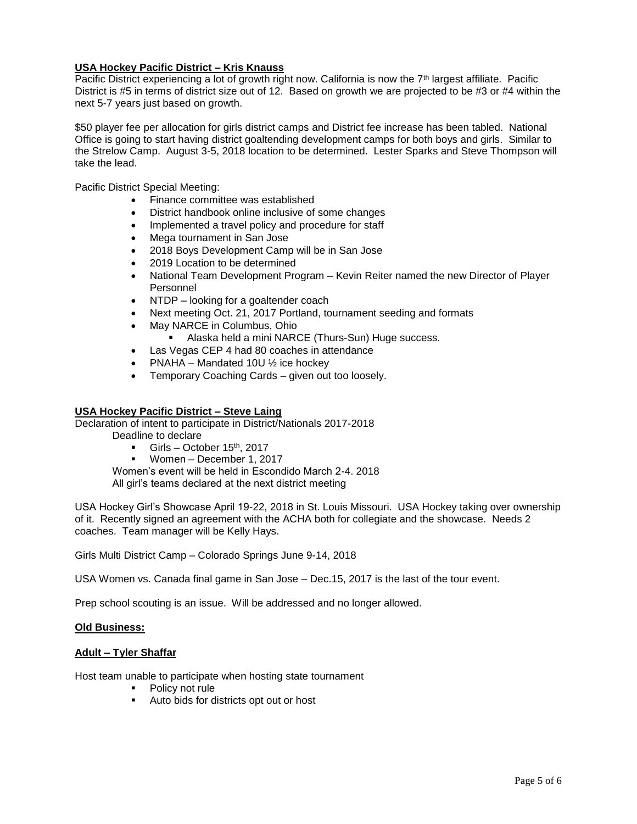### **USA Hockey Pacific District – Kris Knauss**

Pacific District experiencing a lot of growth right now. California is now the 7th largest affiliate. Pacific District is #5 in terms of district size out of 12. Based on growth we are projected to be #3 or #4 within the next 5-7 years just based on growth.

\$50 player fee per allocation for girls district camps and District fee increase has been tabled. National Office is going to start having district goaltending development camps for both boys and girls. Similar to the Strelow Camp. August 3-5, 2018 location to be determined. Lester Sparks and Steve Thompson will take the lead.

Pacific District Special Meeting:

- Finance committee was established
- District handbook online inclusive of some changes
- Implemented a travel policy and procedure for staff
- Mega tournament in San Jose
- 2018 Boys Development Camp will be in San Jose
- 2019 Location to be determined
- National Team Development Program Kevin Reiter named the new Director of Player Personnel
- NTDP looking for a goaltender coach
- Next meeting Oct. 21, 2017 Portland, tournament seeding and formats
- May NARCE in Columbus, Ohio
	- Alaska held a mini NARCE (Thurs-Sun) Huge success.
- Las Vegas CEP 4 had 80 coaches in attendance
- PNAHA Mandated 10U ½ ice hockey
- Temporary Coaching Cards given out too loosely.

### **USA Hockey Pacific District – Steve Laing**

Declaration of intent to participate in District/Nationals 2017-2018

Deadline to declare

- $Girls October 15<sup>th</sup>, 2017$
- Women December 1, 2017

Women's event will be held in Escondido March 2-4. 2018 All girl's teams declared at the next district meeting

USA Hockey Girl's Showcase April 19-22, 2018 in St. Louis Missouri. USA Hockey taking over ownership of it. Recently signed an agreement with the ACHA both for collegiate and the showcase. Needs 2 coaches. Team manager will be Kelly Hays.

Girls Multi District Camp – Colorado Springs June 9-14, 2018

USA Women vs. Canada final game in San Jose – Dec.15, 2017 is the last of the tour event.

Prep school scouting is an issue. Will be addressed and no longer allowed.

### **Old Business:**

### **Adult – Tyler Shaffar**

Host team unable to participate when hosting state tournament

- Policy not rule
- Auto bids for districts opt out or host